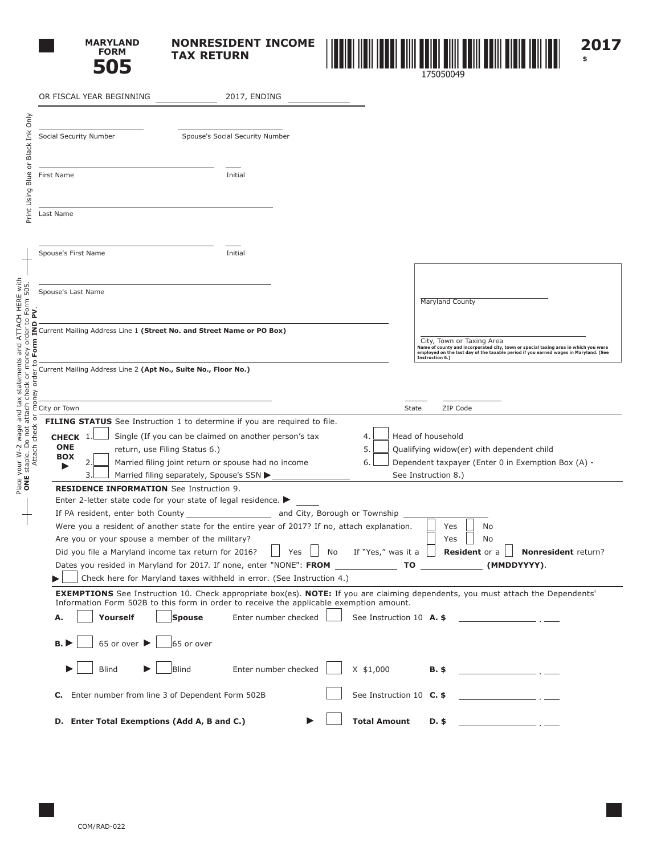

**NONRESIDENT INCOME TAX RETURN**



**\$**

|                                                                                                                                                   | OR FISCAL YEAR BEGINNING                                                                                                                                                                                               | 2017, ENDING                                                                                                 |                |                          |                                                                |                                                                                                                                                                             |  |  |
|---------------------------------------------------------------------------------------------------------------------------------------------------|------------------------------------------------------------------------------------------------------------------------------------------------------------------------------------------------------------------------|--------------------------------------------------------------------------------------------------------------|----------------|--------------------------|----------------------------------------------------------------|-----------------------------------------------------------------------------------------------------------------------------------------------------------------------------|--|--|
| Only                                                                                                                                              |                                                                                                                                                                                                                        |                                                                                                              |                |                          |                                                                |                                                                                                                                                                             |  |  |
| Black Ink                                                                                                                                         | Social Security Number                                                                                                                                                                                                 | Spouse's Social Security Number                                                                              |                |                          |                                                                |                                                                                                                                                                             |  |  |
| $\overleftarrow{\mathrm{o}}$<br>Blue                                                                                                              | First Name                                                                                                                                                                                                             | Initial                                                                                                      |                |                          |                                                                |                                                                                                                                                                             |  |  |
| Print Using                                                                                                                                       | Last Name                                                                                                                                                                                                              |                                                                                                              |                |                          |                                                                |                                                                                                                                                                             |  |  |
|                                                                                                                                                   | Spouse's First Name                                                                                                                                                                                                    | Initial                                                                                                      |                |                          |                                                                |                                                                                                                                                                             |  |  |
| ≧                                                                                                                                                 | Spouse's Last Name                                                                                                                                                                                                     |                                                                                                              |                |                          | Maryland County                                                |                                                                                                                                                                             |  |  |
| Form IN                                                                                                                                           | Current Mailing Address Line 1 (Street No. and Street Name or PO Box)                                                                                                                                                  |                                                                                                              |                |                          | City, Town or Taxing Area<br>Instruction 6.)                   | Name of county and incorporated city, town or special taxing area in which you were<br>employed on the last day of the taxable period if you earned wages in Maryland. (See |  |  |
| orde<br>ney                                                                                                                                       | Current Mailing Address Line 2 (Apt No., Suite No., Floor No.)                                                                                                                                                         |                                                                                                              |                |                          |                                                                |                                                                                                                                                                             |  |  |
| g                                                                                                                                                 | City or Town<br><b>FILING STATUS</b> See Instruction 1 to determine if you are required to file.                                                                                                                       |                                                                                                              |                | State                    | ZIP Code                                                       |                                                                                                                                                                             |  |  |
| Place your W-2 wage and tax statements and ATTACH HERE with<br><b>ONE</b> staple. Do not attach check or money order to Form 505.<br>Attach check | CHECK 1<br><b>ONE</b><br>return, use Filing Status 6.)<br><b>BOX</b><br>2                                                                                                                                              | Single (If you can be claimed on another person's tax<br>Married filing joint return or spouse had no income | 4.<br>5.<br>6. |                          | Head of household<br>Qualifying widow(er) with dependent child | Dependent taxpayer (Enter 0 in Exemption Box (A) -                                                                                                                          |  |  |
|                                                                                                                                                   | 3.<br>Married filing separately, Spouse's SSN ▶                                                                                                                                                                        |                                                                                                              |                |                          | See Instruction 8.)                                            |                                                                                                                                                                             |  |  |
|                                                                                                                                                   | <b>RESIDENCE INFORMATION</b> See Instruction 9.<br>Enter 2-letter state code for your state of legal residence. $\blacktriangleright$<br>If PA resident, enter both County<br>and City, Borough or Township            |                                                                                                              |                |                          |                                                                |                                                                                                                                                                             |  |  |
|                                                                                                                                                   | Were you a resident of another state for the entire year of 2017? If no, attach explanation.<br>Are you or your spouse a member of the military?<br>Did you file a Maryland income tax return for 2016?                | Yes                                                                                                          | No             | If "Yes," was it a       | No<br>Yes<br>Yes<br>No<br><b>Resident</b> or a                 | Nonresident return?                                                                                                                                                         |  |  |
|                                                                                                                                                   | Dates you resided in Maryland for 2017. If none, enter "NONE": FROM                                                                                                                                                    |                                                                                                              |                | ΤO                       |                                                                | (MMDDYYYY).                                                                                                                                                                 |  |  |
|                                                                                                                                                   | Check here for Maryland taxes withheld in error. (See Instruction 4.)<br><b>EXEMPTIONS</b> See Instruction 10. Check appropriate box(es). <b>NOTE:</b> If you are claiming dependents, you must attach the Dependents' |                                                                                                              |                |                          |                                                                |                                                                                                                                                                             |  |  |
|                                                                                                                                                   | Information Form 502B to this form in order to receive the applicable exemption amount.<br>Yourself<br>Spouse<br>Α.                                                                                                    | Enter number checked                                                                                         |                | See Instruction 10 A. \$ |                                                                |                                                                                                                                                                             |  |  |
|                                                                                                                                                   | 65 or over ▶<br>$65$ or over<br><b>B.</b>                                                                                                                                                                              |                                                                                                              |                |                          |                                                                |                                                                                                                                                                             |  |  |
|                                                                                                                                                   | <b>Blind</b><br><b>Blind</b>                                                                                                                                                                                           | Enter number checked                                                                                         | $X$ \$1,000    |                          | B. \$                                                          |                                                                                                                                                                             |  |  |
|                                                                                                                                                   | C. Enter number from line 3 of Dependent Form 502B                                                                                                                                                                     |                                                                                                              |                | See Instruction 10 C. \$ |                                                                | $\mathcal{L} = \mathcal{L}$                                                                                                                                                 |  |  |
|                                                                                                                                                   | D. Enter Total Exemptions (Add A, B and C.)                                                                                                                                                                            |                                                                                                              |                | <b>Total Amount</b>      | D. \$                                                          |                                                                                                                                                                             |  |  |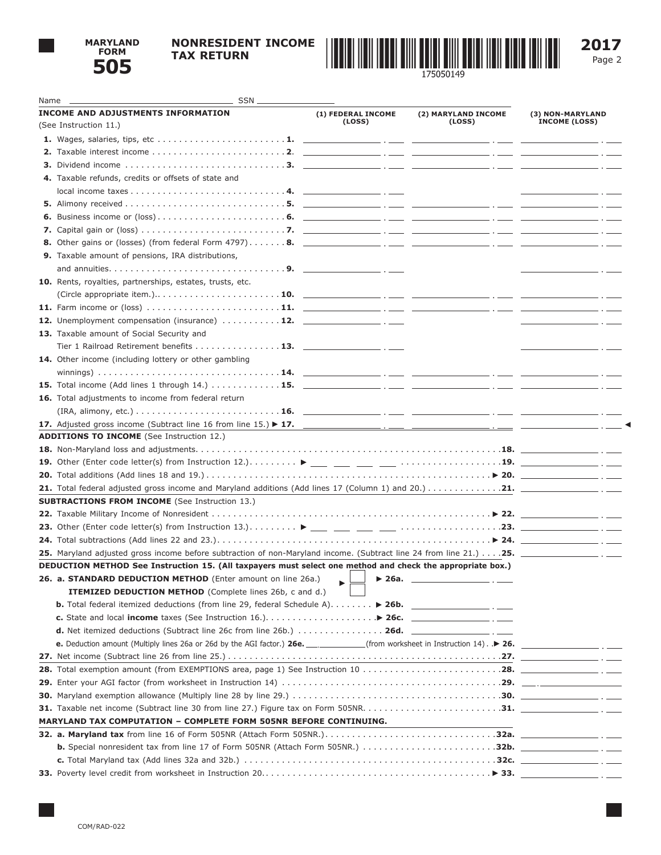

## **NONRESIDENT INCOME TAX RETURN**



Page 2

| $\frac{1}{2}$ SSN $\frac{1}{2}$<br>Name __                                                                                                                                                                                                         |                    |                     |                      |
|----------------------------------------------------------------------------------------------------------------------------------------------------------------------------------------------------------------------------------------------------|--------------------|---------------------|----------------------|
| <b>INCOME AND ADJUSTMENTS INFORMATION</b>                                                                                                                                                                                                          | (1) FEDERAL INCOME | (2) MARYLAND INCOME | (3) NON-MARYLAND     |
| (See Instruction 11.)                                                                                                                                                                                                                              | (Loss)             | (LOSS)              | <b>INCOME (LOSS)</b> |
|                                                                                                                                                                                                                                                    |                    |                     |                      |
|                                                                                                                                                                                                                                                    |                    |                     |                      |
|                                                                                                                                                                                                                                                    |                    |                     |                      |
| 4. Taxable refunds, credits or offsets of state and                                                                                                                                                                                                |                    |                     |                      |
|                                                                                                                                                                                                                                                    |                    |                     |                      |
|                                                                                                                                                                                                                                                    |                    |                     |                      |
|                                                                                                                                                                                                                                                    |                    |                     |                      |
|                                                                                                                                                                                                                                                    |                    |                     |                      |
|                                                                                                                                                                                                                                                    |                    |                     |                      |
| <b>9.</b> Taxable amount of pensions, IRA distributions,                                                                                                                                                                                           |                    |                     |                      |
|                                                                                                                                                                                                                                                    |                    |                     |                      |
| 10. Rents, royalties, partnerships, estates, trusts, etc.                                                                                                                                                                                          |                    |                     |                      |
|                                                                                                                                                                                                                                                    |                    |                     |                      |
|                                                                                                                                                                                                                                                    |                    |                     |                      |
| <b>12.</b> Unemployment compensation (insurance) $\dots \dots \dots \dots$ <b>12.</b> $\_\_$                                                                                                                                                       |                    |                     |                      |
| 13. Taxable amount of Social Security and                                                                                                                                                                                                          |                    |                     |                      |
| Tier 1 Railroad Retirement benefits 13.<br>14. Other income (including lottery or other gambling                                                                                                                                                   |                    |                     | $-$ . $-$            |
|                                                                                                                                                                                                                                                    |                    |                     |                      |
|                                                                                                                                                                                                                                                    |                    |                     |                      |
| 16. Total adjustments to income from federal return                                                                                                                                                                                                |                    |                     |                      |
|                                                                                                                                                                                                                                                    |                    |                     |                      |
|                                                                                                                                                                                                                                                    |                    |                     |                      |
| <b>ADDITIONS TO INCOME</b> (See Instruction 12.)                                                                                                                                                                                                   |                    |                     |                      |
|                                                                                                                                                                                                                                                    |                    |                     |                      |
|                                                                                                                                                                                                                                                    |                    |                     |                      |
|                                                                                                                                                                                                                                                    |                    |                     |                      |
|                                                                                                                                                                                                                                                    |                    |                     |                      |
| <b>SUBTRACTIONS FROM INCOME</b> (See Instruction 13.)                                                                                                                                                                                              |                    |                     |                      |
|                                                                                                                                                                                                                                                    |                    |                     |                      |
|                                                                                                                                                                                                                                                    |                    |                     |                      |
|                                                                                                                                                                                                                                                    |                    |                     |                      |
| 25. Maryland adjusted gross income before subtraction of non-Maryland income. (Subtract line 24 from line 21.) 25.                                                                                                                                 |                    |                     |                      |
| DEDUCTION METHOD See Instruction 15. (All taxpayers must select one method and check the appropriate box.)                                                                                                                                         |                    |                     |                      |
| 26. a. STANDARD DEDUCTION METHOD (Enter amount on line 26a.)                                                                                                                                                                                       |                    |                     |                      |
| <b>ITEMIZED DEDUCTION METHOD</b> (Complete lines 26b, c and d.)                                                                                                                                                                                    |                    |                     |                      |
| <b>b.</b> Total federal itemized deductions (from line 29, federal Schedule A). $\ldots \ldots$ > 26b.<br>c. State and local income taxes (See Instruction 16.). $\ldots$ $\ldots$ $\ldots$ $\ldots$ $\blacktriangleright$ 26c. _________________. |                    |                     |                      |
| <b>d.</b> Net itemized deductions (Subtract line 26c from line 26b.) $\ldots \ldots \ldots \ldots$ 26d.                                                                                                                                            |                    |                     |                      |
|                                                                                                                                                                                                                                                    |                    |                     |                      |
|                                                                                                                                                                                                                                                    |                    |                     |                      |
|                                                                                                                                                                                                                                                    |                    |                     |                      |
|                                                                                                                                                                                                                                                    |                    |                     |                      |
|                                                                                                                                                                                                                                                    |                    |                     |                      |
|                                                                                                                                                                                                                                                    |                    |                     |                      |
| <b>MARYLAND TAX COMPUTATION - COMPLETE FORM 505NR BEFORE CONTINUING.</b>                                                                                                                                                                           |                    |                     |                      |
|                                                                                                                                                                                                                                                    |                    |                     |                      |
|                                                                                                                                                                                                                                                    |                    |                     |                      |
|                                                                                                                                                                                                                                                    |                    |                     |                      |
|                                                                                                                                                                                                                                                    |                    |                     |                      |